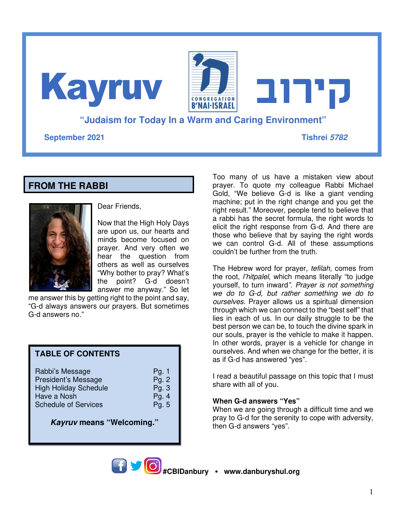**"Judaism for Today In a Warm and Caring Environment" September 2021 Tishrei 5782 קירוב** Kayruv

# **FROM THE RABBI**



Dear Friends,

Now that the High Holy Days are upon us, our hearts and minds become focused on prayer. And very often we hear the question from others as well as ourselves "Why bother to pray? What's the point? G-d doesn't answer me anyway." So let

me answer this by getting right to the point and say, "G-d always answers our prayers. But sometimes G-d answers no."

### **TABLE OF CONTENTS**

| Pg.2<br>Pg.3<br>Pg. $4$<br>Pg. 5 |
|----------------------------------|
|                                  |
|                                  |

**Kayruv means "Welcoming."** 

Too many of us have a mistaken view about prayer. To quote my colleague Rabbi Michael Gold, "We believe G-d is like a giant vending machine; put in the right change and you get the right result." Moreover, people tend to believe that a rabbi has the secret formula, the right words to elicit the right response from G-d. And there are those who believe that by saying the right words we can control G-d. All of these assumptions couldn't be further from the truth.

The Hebrew word for prayer, *tefilah*, comes from the root, *l'hitpalel*, which means literally "to judge yourself, to turn inward*". Prayer is not something we do to G-d, but rather something we do to ourselves.* Prayer allows us a spiritual dimension through which we can connect to the "best self" that lies in each of us. In our daily struggle to be the best person we can be, to touch the divine spark in our souls, prayer is the vehicle to make it happen. In other words, prayer is a vehicle for change in ourselves. And when we change for the better, it is as if G-d has answered "yes".

I read a beautiful passage on this topic that I must share with all of you.

### **When G-d answers "Yes"**

When we are going through a difficult time and we pray to G-d for the serenity to cope with adversity, then G-d answers "yes".

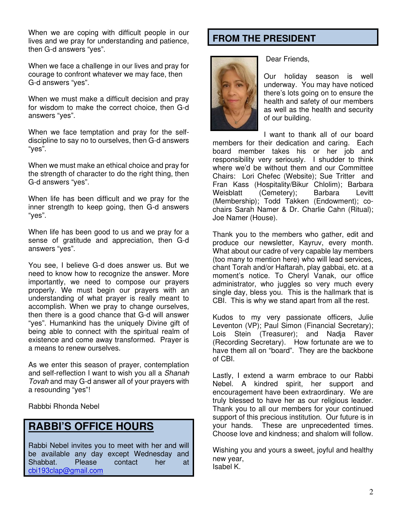When we are coping with difficult people in our lives and we pray for understanding and patience, then G-d answers "yes".

When we face a challenge in our lives and pray for courage to confront whatever we may face, then G-d answers "yes".

When we must make a difficult decision and pray for wisdom to make the correct choice, then G-d answers "yes".

When we face temptation and pray for the selfdiscipline to say no to ourselves, then G-d answers "yes".

When we must make an ethical choice and pray for the strength of character to do the right thing, then G-d answers "yes".

When life has been difficult and we pray for the inner strength to keep going, then G-d answers "yes".

When life has been good to us and we pray for a sense of gratitude and appreciation, then G-d answers "yes".

You see, I believe G-d does answer us. But we need to know how to recognize the answer. More importantly, we need to compose our prayers properly. We must begin our prayers with an understanding of what prayer is really meant to accomplish. When we pray to change ourselves, then there is a good chance that G-d will answer "yes". Humankind has the uniquely Divine gift of being able to connect with the spiritual realm of existence and come away transformed. Prayer is a means to renew ourselves.

As we enter this season of prayer, contemplation and self-reflection I want to wish you all a *Shanah Tovah* and may G-d answer all of your prayers with a resounding "yes"!

Rabbbi Rhonda Nebel

# **RABBI'S OFFICE HOURS**

Rabbi Nebel invites you to meet with her and will be available any day except Wednesday and<br>Shabbat. Please contact her at Shabbat. Please contact her at cbi193clap@gmail.com

# **FROM THE PRESIDENT**



Dear Friends,

Our holiday season is well underway. You may have noticed there's lots going on to ensure the health and safety of our members as well as the health and security of our building.

I want to thank all of our board members for their dedication and caring. Each board member takes his or her job and responsibility very seriously. I shudder to think where we'd be without them and our Committee Chairs: Lori Chefec (Website); Sue Tritter and Fran Kass (Hospitality/Bikur Chlolim); Barbara Weisblatt (Cemetery); Barbara Levitt (Membership); Todd Takken (Endowment); cochairs Sarah Namer & Dr. Charlie Cahn (Ritual); Joe Namer (House).

Thank you to the members who gather, edit and produce our newsletter, Kayruv, every month. What about our cadre of very capable lay members (too many to mention here) who will lead services, chant Torah and/or Haftarah, play gabbai, etc. at a moment's notice. To Cheryl Vanak, our office administrator, who juggles so very much every single day, bless you. This is the hallmark that is CBI. This is why we stand apart from all the rest.

Kudos to my very passionate officers, Julie Leventon (VP); Paul Simon (Financial Secretary); Lois Stein (Treasurer); and Nadja Raver (Recording Secretary). How fortunate are we to have them all on "board". They are the backbone of CBI.

Lastly, I extend a warm embrace to our Rabbi Nebel. A kindred spirit, her support and encouragement have been extraordinary. We are truly blessed to have her as our religious leader. Thank you to all our members for your continued support of this precious institution. Our future is in your hands. These are unprecedented times. Choose love and kindness; and shalom will follow.

Wishing you and yours a sweet, joyful and healthy new year, Isabel K.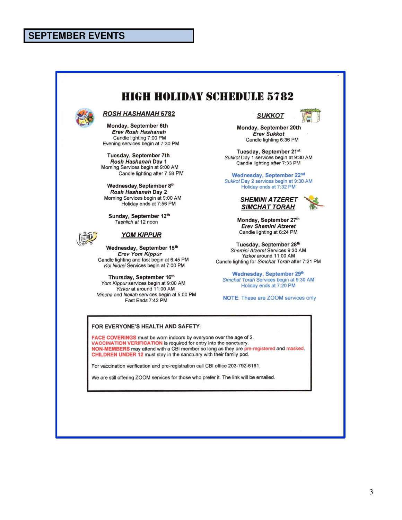### **SEPTEMBER EVENTS**

# **HIGH HOLIDAY SCHEDULE 5782**



#### **ROSH HASHANAH 5782**

Monday, September 6th **Erev Rosh Hashanah** Candle lighting 7:00 PM Evening services begin at 7:30 PM

Tuesday, September 7th Rosh Hashanah Day 1 Morning Services begin at 9:00 AM Candle lighting after 7:58 PM

Wednesday, September 8th Rosh Hashanah Day 2 Morning Services begin at 9:00 AM Holiday ends at 7:56 PM

Sunday, September 12th Tashlich at 12 noon



#### **YOM KIPPUR**

Wednesday, September 15th **Erev Yom Kippur** Candle lighting and fast begin at 6:45 PM Kol Nidrei Services begin at 7:00 PM

Thursday, September 16th Yom Kippur services begin at 9:00 AM Yizkor at around 11:00 AM Mincha and Neilah services begin at 5:00 PM Fast Ends 7:42 PM



Monday, September 20th **Erev Sukkot** Candle lighting 6:36 PM

Tuesday, September 21st Sukkot Day 1 services begin at 9:30 AM Candle lighting after 7:33 PM

Wednesday, September 22nd Sukkot Day 2 services begin at 9:30 AM Holiday ends at 7:32 PM





Monday, September 27th **Erev Shemini Atzeret** Candle lighting at 6:24 PM

Tuesday, September 28th Shemini Atzeret Services 9:30 AM Yizkor around 11:00 AM Candle lighting for Simchat Torah after 7:21 PM

Wednesday, September 29th Simchat Torah Services begin at 9:30 AM Holiday ends at 7:20 PM

**NOTE:** These are ZOOM services only

#### FOR EVERYONE'S HEALTH AND SAFETY:

FACE COVERINGS must be worn indoors by everyone over the age of 2. VACCINATION VERIFICATION is required for entry into the sanctuary. NON-MEMBERS may attend with a CBI member so long as they are pre-registered and masked. CHILDREN UNDER 12 must stay in the sanctuary with their family pod.

For vaccination verification and pre-registration call CBI office 203-792-6161.

We are still offering ZOOM services for those who prefer it. The link will be emailed.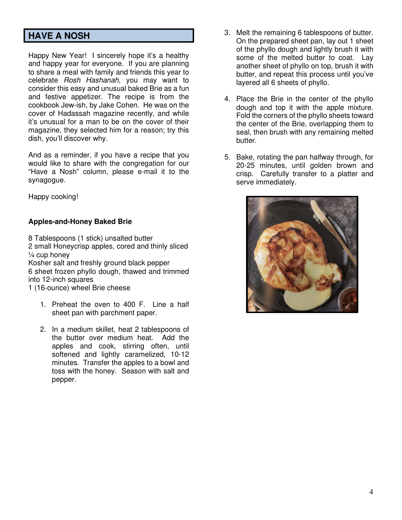## **HAVE A NOSH**

Happy New Year! I sincerely hope it's a healthy and happy year for everyone. If you are planning to share a meal with family and friends this year to celebrate *Rosh Hashanah*, you may want to consider this easy and unusual baked Brie as a fun and festive appetizer. The recipe is from the cookbook Jew-ish, by Jake Cohen. He was on the cover of Hadassah magazine recently, and while it's unusual for a man to be on the cover of their magazine, they selected him for a reason; try this dish, you'll discover why.

And as a reminder, if you have a recipe that you would like to share with the congregation for our "Have a Nosh" column, please e-mail it to the synagogue.

Happy cooking!

### **Apples-and-Honey Baked Brie**

8 Tablespoons (1 stick) unsalted butter 2 small Honeycrisp apples, cored and thinly sliced ¼ cup honey Kosher salt and freshly ground black pepper 6 sheet frozen phyllo dough, thawed and trimmed into 12-inch squares

- 1 (16-ounce) wheel Brie cheese
	- 1. Preheat the oven to 400 F. Line a half sheet pan with parchment paper.
	- 2. In a medium skillet, heat 2 tablespoons of the butter over medium heat. Add the apples and cook, stirring often, until softened and lightly caramelized, 10-12 minutes. Transfer the apples to a bowl and toss with the honey. Season with salt and pepper.
- 3. Melt the remaining 6 tablespoons of butter. On the prepared sheet pan, lay out 1 sheet of the phyllo dough and lightly brush it with some of the melted butter to coat. Lay another sheet of phyllo on top, brush it with butter, and repeat this process until you've layered all 6 sheets of phyllo.
- 4. Place the Brie in the center of the phyllo dough and top it with the apple mixture. Fold the corners of the phyllo sheets toward the center of the Brie, overlapping them to seal, then brush with any remaining melted butter.
- 5. Bake, rotating the pan halfway through, for 20-25 minutes, until golden brown and crisp. Carefully transfer to a platter and serve immediately.